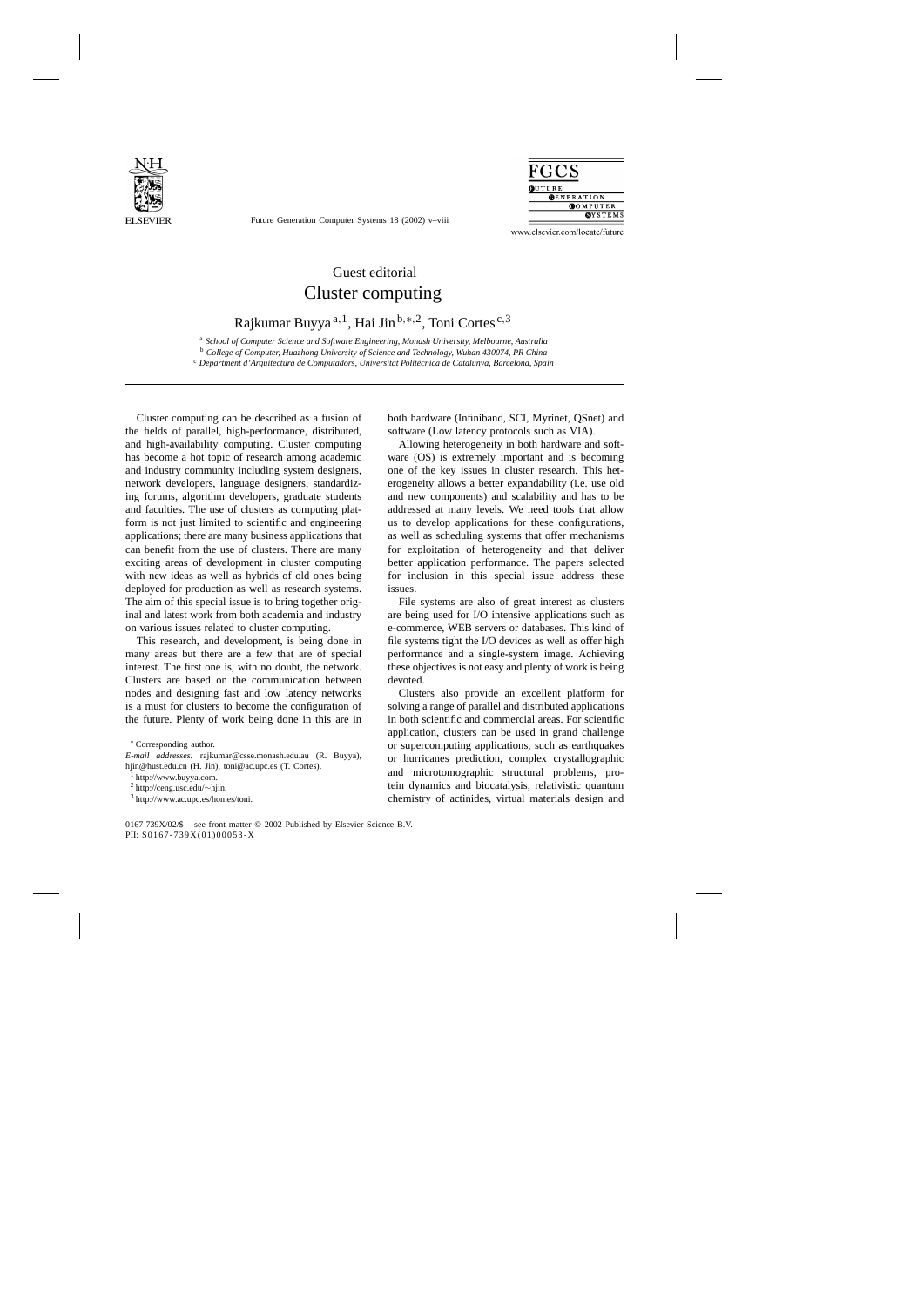

Future Generation Computer Systems 18 (2002) v–viii



www.elsevier.com/locate/future

## Guest editorial Cluster computing

Rajkumar Buyya<sup>a, 1</sup>, Hai Jin<sup>b,∗, 2</sup>, Toni Cortes<sup>c, 3</sup>

<sup>a</sup> *School of Computer Science and Software Engineering, Monash University, Melbourne, Australia*

<sup>b</sup> *College of Computer, Huazhong University of Science and Technology, Wuhan 430074, PR China*

<sup>c</sup> *Department d'Arquitectura de Computadors, Universitat Politècnica de Catalunya, Barcelona, Spain*

Cluster computing can be described as a fusion of the fields of parallel, high-performance, distributed, and high-availability computing. Cluster computing has become a hot topic of research among academic and industry community including system designers, network developers, language designers, standardizing forums, algorithm developers, graduate students and faculties. The use of clusters as computing platform is not just limited to scientific and engineering applications; there are many business applications that can benefit from the use of clusters. There are many exciting areas of development in cluster computing with new ideas as well as hybrids of old ones being deployed for production as well as research systems. The aim of this special issue is to bring together original and latest work from both academia and industry on various issues related to cluster computing.

This research, and development, is being done in many areas but there are a few that are of special interest. The first one is, with no doubt, the network. Clusters are based on the communication between nodes and designing fast and low latency networks is a must for clusters to become the configuration of the future. Plenty of work being done in this are in

∗ Corresponding author.

 $\frac{1}{2}$  http://www.buyya.com.<br> $\frac{2}{1}$  http://ceng.usc.edu/~hjin.

both hardware (Infiniband, SCI, Myrinet, QSnet) and software (Low latency protocols such as VIA).

Allowing heterogeneity in both hardware and software (OS) is extremely important and is becoming one of the key issues in cluster research. This heterogeneity allows a better expandability (i.e. use old and new components) and scalability and has to be addressed at many levels. We need tools that allow us to develop applications for these configurations, as well as scheduling systems that offer mechanisms for exploitation of heterogeneity and that deliver better application performance. The papers selected for inclusion in this special issue address these issues.

File systems are also of great interest as clusters are being used for I/O intensive applications such as e-commerce, WEB servers or databases. This kind of file systems tight the I/O devices as well as offer high performance and a single-system image. Achieving these objectives is not easy and plenty of work is being devoted.

Clusters also provide an excellent platform for solving a range of parallel and distributed applications in both scientific and commercial areas. For scientific application, clusters can be used in grand challenge or supercomputing applications, such as earthquakes or hurricanes prediction, complex crystallographic and microtomographic structural problems, protein dynamics and biocatalysis, relativistic quantum chemistry of actinides, virtual materials design and

*E-mail addresses:* rajkumar@csse.monash.edu.au (R. Buyya), hjin@hust.edu.cn (H. Jin), toni@ac.upc.es (T. Cortes).

<sup>&</sup>lt;sup>3</sup> http://www.ac.upc.es/homes/toni.

<sup>0167-739</sup>X/02/\$ – see front matter © 2002 Published by Elsevier Science B.V. PII: S0167-739X(01)00053-X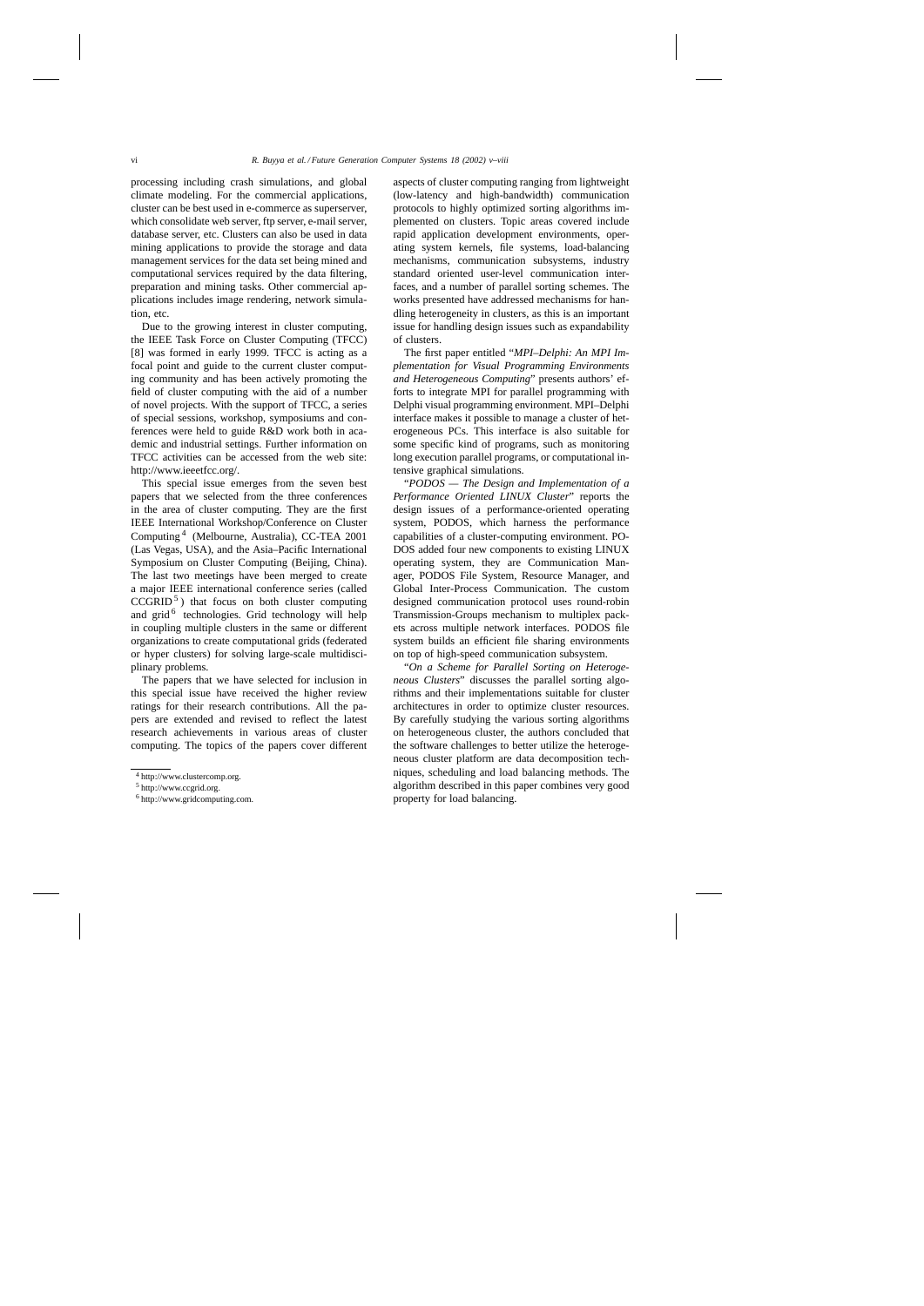processing including crash simulations, and global climate modeling. For the commercial applications, cluster can be best used in e-commerce as superserver, which consolidate web server, ftp server, e-mail server, database server, etc. Clusters can also be used in data mining applications to provide the storage and data management services for the data set being mined and computational services required by the data filtering, preparation and mining tasks. Other commercial applications includes image rendering, network simulation, etc.

Due to the growing interest in cluster computing, the IEEE Task Force on Cluster Computing (TFCC) [8] was formed in early 1999. TFCC is acting as a focal point and guide to the current cluster computing community and has been actively promoting the field of cluster computing with the aid of a number of novel projects. With the support of TFCC, a series of special sessions, workshop, symposiums and conferences were held to guide R&D work both in academic and industrial settings. Further information on TFCC activities can be accessed from the web site: http://www.ieeetfcc.org/.

This special issue emerges from the seven best papers that we selected from the three conferences in the area of cluster computing. They are the first IEEE International Workshop/Conference on Cluster Computing <sup>4</sup> (Melbourne, Australia), CC-TEA 2001 (Las Vegas, USA), and the Asia–Pacific International Symposium on Cluster Computing (Beijing, China). The last two meetings have been merged to create a major IEEE international conference series (called  $CCGRID<sup>5</sup>$ ) that focus on both cluster computing and grid<sup>6</sup> technologies. Grid technology will help in coupling multiple clusters in the same or different organizations to create computational grids (federated or hyper clusters) for solving large-scale multidisciplinary problems.

The papers that we have selected for inclusion in this special issue have received the higher review ratings for their research contributions. All the papers are extended and revised to reflect the latest research achievements in various areas of cluster computing. The topics of the papers cover different aspects of cluster computing ranging from lightweight (low-latency and high-bandwidth) communication protocols to highly optimized sorting algorithms implemented on clusters. Topic areas covered include rapid application development environments, operating system kernels, file systems, load-balancing mechanisms, communication subsystems, industry standard oriented user-level communication interfaces, and a number of parallel sorting schemes. The works presented have addressed mechanisms for handling heterogeneity in clusters, as this is an important issue for handling design issues such as expandability of clusters.

The first paper entitled "*MPI–Delphi: An MPI Implementation for Visual Programming Environments and Heterogeneous Computing*" presents authors' efforts to integrate MPI for parallel programming with Delphi visual programming environment. MPI–Delphi interface makes it possible to manage a cluster of heterogeneous PCs. This interface is also suitable for some specific kind of programs, such as monitoring long execution parallel programs, or computational intensive graphical simulations.

"*PODOS — The Design and Implementation of a Performance Oriented LINUX Cluster*" reports the design issues of a performance-oriented operating system, PODOS, which harness the performance capabilities of a cluster-computing environment. PO-DOS added four new components to existing LINUX operating system, they are Communication Manager, PODOS File System, Resource Manager, and Global Inter-Process Communication. The custom designed communication protocol uses round-robin Transmission-Groups mechanism to multiplex packets across multiple network interfaces. PODOS file system builds an efficient file sharing environments on top of high-speed communication subsystem.

"*On a Scheme for Parallel Sorting on Heterogeneous Clusters*" discusses the parallel sorting algorithms and their implementations suitable for cluster architectures in order to optimize cluster resources. By carefully studying the various sorting algorithms on heterogeneous cluster, the authors concluded that the software challenges to better utilize the heterogeneous cluster platform are data decomposition techniques, scheduling and load balancing methods. The algorithm described in this paper combines very good property for load balancing.

<sup>4</sup> http://www.clustercomp.org.

<sup>5</sup> http://www.ccgrid.org.

 $6$  http://www.gridcomputing.com.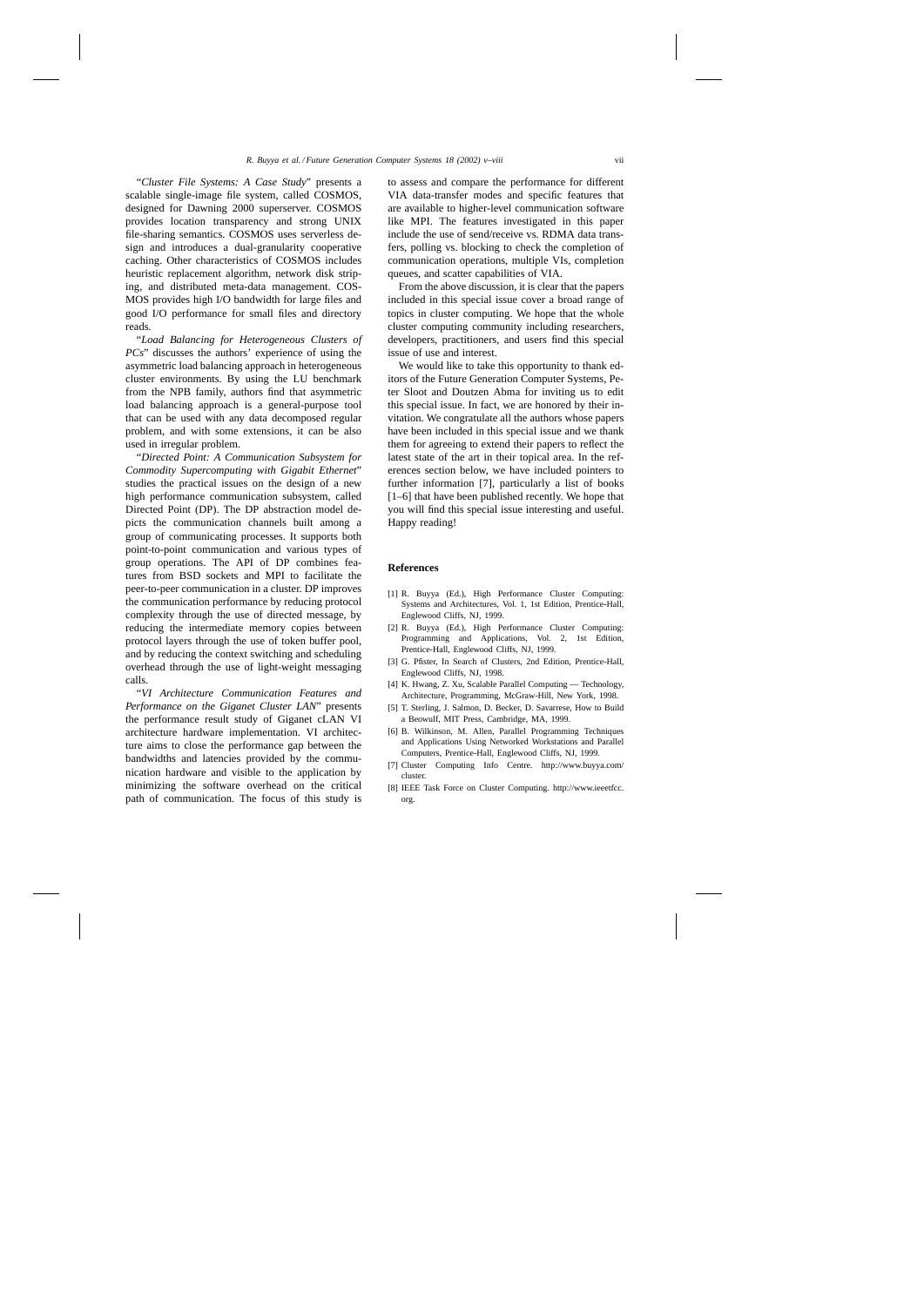"*Cluster File Systems: A Case Study*" presents a scalable single-image file system, called COSMOS, designed for Dawning 2000 superserver. COSMOS provides location transparency and strong UNIX file-sharing semantics. COSMOS uses serverless design and introduces a dual-granularity cooperative caching. Other characteristics of COSMOS includes heuristic replacement algorithm, network disk striping, and distributed meta-data management. COS-MOS provides high I/O bandwidth for large files and good I/O performance for small files and directory reads.

"*Load Balancing for Heterogeneous Clusters of PCs*" discusses the authors' experience of using the asymmetric load balancing approach in heterogeneous cluster environments. By using the LU benchmark from the NPB family, authors find that asymmetric load balancing approach is a general-purpose tool that can be used with any data decomposed regular problem, and with some extensions, it can be also used in irregular problem.

"*Directed Point: A Communication Subsystem for Commodity Supercomputing with Gigabit Ethernet*" studies the practical issues on the design of a new high performance communication subsystem, called Directed Point (DP). The DP abstraction model depicts the communication channels built among a group of communicating processes. It supports both point-to-point communication and various types of group operations. The API of DP combines features from BSD sockets and MPI to facilitate the peer-to-peer communication in a cluster. DP improves the communication performance by reducing protocol complexity through the use of directed message, by reducing the intermediate memory copies between protocol layers through the use of token buffer pool, and by reducing the context switching and scheduling overhead through the use of light-weight messaging calls.

"*VI Architecture Communication Features and Performance on the Giganet Cluster LAN*" presents the performance result study of Giganet cLAN VI architecture hardware implementation. VI architecture aims to close the performance gap between the bandwidths and latencies provided by the communication hardware and visible to the application by minimizing the software overhead on the critical path of communication. The focus of this study is to assess and compare the performance for different VIA data-transfer modes and specific features that are available to higher-level communication software like MPI. The features investigated in this paper include the use of send/receive vs. RDMA data transfers, polling vs. blocking to check the completion of communication operations, multiple VIs, completion queues, and scatter capabilities of VIA.

From the above discussion, it is clear that the papers included in this special issue cover a broad range of topics in cluster computing. We hope that the whole cluster computing community including researchers, developers, practitioners, and users find this special issue of use and interest.

We would like to take this opportunity to thank editors of the Future Generation Computer Systems, Peter Sloot and Doutzen Abma for inviting us to edit this special issue. In fact, we are honored by their invitation. We congratulate all the authors whose papers have been included in this special issue and we thank them for agreeing to extend their papers to reflect the latest state of the art in their topical area. In the references section below, we have included pointers to further information [7], particularly a list of books [1–6] that have been published recently. We hope that you will find this special issue interesting and useful. Happy reading!

## **References**

- [1] R. Buyya (Ed.), High Performance Cluster Computing: Systems and Architectures, Vol. 1, 1st Edition, Prentice-Hall, Englewood Cliffs, NJ, 1999.
- [2] R. Buyya (Ed.), High Performance Cluster Computing: Programming and Applications, Vol. 2, 1st Edition, Prentice-Hall, Englewood Cliffs, NJ, 1999.
- [3] G. Pfister, In Search of Clusters, 2nd Edition, Prentice-Hall, Englewood Cliffs, NJ, 1998.
- [4] K. Hwang, Z. Xu, Scalable Parallel Computing Technology, Architecture, Programming, McGraw-Hill, New York, 1998.
- [5] T. Sterling, J. Salmon, D. Becker, D. Savarrese, How to Build a Beowulf, MIT Press, Cambridge, MA, 1999.
- [6] B. Wilkinson, M. Allen, Parallel Programming Techniques and Applications Using Networked Workstations and Parallel Computers, Prentice-Hall, Englewood Cliffs, NJ, 1999.
- [7] Cluster Computing Info Centre. http://www.buyya.com/ cluster.
- [8] IEEE Task Force on Cluster Computing. http://www.ieeetfcc. org.